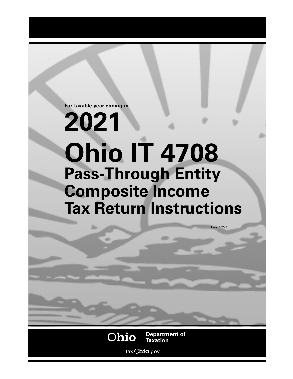**For taxable year ending in**

# **2021 Ohio IT 4708 Pass-Through Entity Composite Income Tax Return Instructions**



**Department of Taxation**

Rev. 12/21

tax. **hio**.gov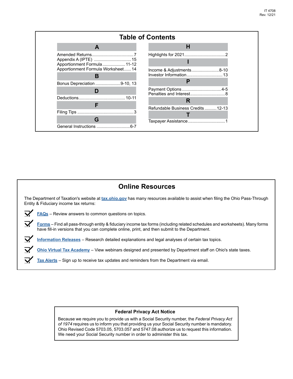

## **Online Resources**

The Department of Taxation's website at **[tax.ohio.gov](https://tax.ohio.gov/wps/portal/gov/tax/)** has many resources available to assist when filing the Ohio Pass-Through Entity & Fiduciary income tax returns:

**[FAQs](https://tax.ohio.gov/wps/portal/gov/tax/help-center/faqs#page=1)** – Review answers to common questions on topics.

**[Forms](https://tax.ohio.gov/wps/portal/gov/tax/individual/get-a-form)** – Find all pass-through entity & fiduciary income tax forms (including related schedules and worksheets). Many forms have fill-in versions that you can complete online, print, and then submit to the Department.

**[Information Releases](https://tax.ohio.gov/wps/portal/gov/tax/help-center/communications/information-releases/information-releases )** – Research detailed explanations and legal analyses of certain tax topics.

**[Ohio Virtual Tax Academy](https://tax.ohio.gov/wps/portal/gov/tax/researcher/ohio-virtual-tax-academy)** – View webinars designed and presented by Department staff on Ohio's state taxes.

**[Tax Alerts](https://tax.ohio.gov/wps/portal/gov/tax/help-center/email-us/tax-alert)** – Sign up to receive tax updates and reminders from the Department via email.

#### **Federal Privacy Act Notice**

Because we require you to provide us with a Social Security number, the *Federal Privacy Act of 1974* requires us to inform you that providing us your Social Security number is mandatory. Ohio Revised Code 5703.05, 5703.057 and 5747.08 authorize us to request this information. We need your Social Security number in order to administer this tax.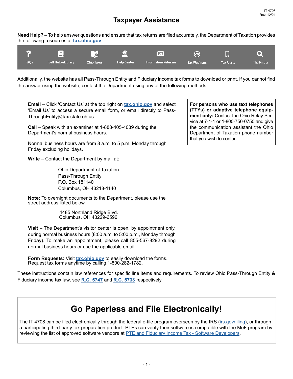**Need Help?** – To help answer questions and ensure that tax returns are filed accurately, the Department of Taxation provides the following resources at **[tax.ohio.gov](http://tax.ohio.gov)**:



Additionally, the website has all Pass-Through Entity and Fiduciary income tax forms to download or print. If you cannot find the answer using the website, contact the Department using any of the following methods:

**Email** – Click 'Contact Us' at the top right on **[tax.ohio.gov](http://tax.ohio.gov)** and select 'Email Us' to access a secure email form, or email directly to Pass-ThroughEntity@tax.state.oh.us.

**Call** – Speak with an examiner at 1-888-405-4039 during the Department's normal business hours.

Normal business hours are from 8 a.m. to 5 p.m. Monday through Friday excluding holidays.

**Write** – Contact the Department by mail at:

Ohio Department of Taxation Pass-Through Entity P.O. Box 181140 Columbus, OH 43218-1140

**Note:** To overnight documents to the Department, please use the street address listed below.

> 4485 Northland Ridge Blvd. Columbus, OH 43229-6596

**Visit** – The Department's visitor center is open, by appointment only, during normal business hours (8:00 a.m. to 5:00 p.m., Monday through Friday). To make an appointment, please call 855-567-8292 during normal business hours or use the applicable email.

**Form Requests:** Visit **[tax.ohio.gov](http://tax.ohio.gov)** to easily download the forms. Request tax forms anytime by calling 1-800-282-1782.

These instructions contain law references for specific line items and requirements. To review Ohio Pass-Through Entity & Fiduciary income tax law, see **[R.C. 5747](http://codes.ohio.gov/orc/5747)** and **[R.C. 5733](http://codes.ohio.gov/orc/5733)** respectively.

#### **For persons who use text telephones (TTYs) or adaptive telephone equipment only:** Contact the Ohio Relay Service at 7-1-1 or 1-800-750-0750 and give the communication assistant the Ohio Department of Taxation phone number that you wish to contact.

# **Go Paperless and File Electronically!**

The IT 4708 can be filed electronically through the federal e-file program overseen by the IRS ([irs.gov/filing](https://www.irs.gov/filing)), or through a participating third-party tax preparation product. PTEs can verify their software is compatible with the MeF program by reviewing the list of approved software vendors at [PTE and Fiduciary Income Tax - Software Developers.](https://tax.ohio.gov/wps/portal/gov/tax/business/resources/softwaredevelopers)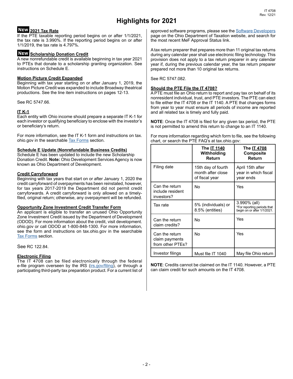# **Highlights for 2021**

#### **2021 Tax Rate New**

If the PTE taxable reporting period begins on or after 1/1/2021, the tax rate is 3.990%. If the reporting period begins on or after 1/1/2019, the tax rate is 4.797%.

#### **Scholarship Donation Credit New**

A new nonrefundable credit is available beginning in tax year 2021 to PTEs that donate to a scholarship granting organization. See instructions on Schedule E.

#### **Motion Picture Credit Expanded**

Beginning with tax year starting on or after January 1, 2019, the Motion Picture Credit was expanded to include Broadway theatrical productions. See the line item instructions on pages 12-13.

See RC 5747.66.

#### **IT K-1**

Each entity with Ohio income should prepare a separate IT K-1 for each investor or qualifying beneficiary to enclose with the investor's or beneficiary's return.

For more information, see the IT K-1 form and instructions on tax. ohio.gov in the searchable [Tax Forms](https://tax.ohio.gov/wps/portal/gov/tax/individual/get-a-form) section.

#### **Schedule E Update (Nonrefundable Business Credits)**

Schedule E has been updated to include the new Scholarship Donation Credit. **Note:** Ohio Development Services Agency is now known as Ohio Department of Development.

#### **Credit Carryforward**

Beginning with tax years that start on or after January 1, 2020 the credit carryforward of overpayments has been reinstated, however, for tax years 2017-2019 the Department did not permit credit carryforwards. A credit carryforward is only allowed on a timelyfiled, original return; otherwise, any overpayment will be refunded.

#### **Opportunity Zone Investment Credit Transfer Form**

An applicant is eligible to transfer an unused Ohio Opportunity Zone Investment Credit issued by the Department of Development (ODOD). For more information about the credit, visit development. ohio.gov or call ODOD at 1-800-848-1300. For more information, see the form and instructions on tax.ohio.gov in the searchable [Tax Forms](https://tax.ohio.gov/wps/portal/gov/tax/individual/get-a-form) section.

See RC 122.84.

#### **Electronic Filing**

The IT 4708 can be filed electronically through the federal e-file program overseen by the IRS ([irs.gov/filing](https://www.irs.gov/filing)), or through a participating third-party tax preparation product. For a current list of approved software programs, please see the Software Developers page on the Ohio Department of Taxation website, and search for the most recent MeF Approval Status link.

A tax return preparer that prepares more than 11 original tax returns during any calendar year shall use electronic filing technology. This provision does not apply to a tax return preparer in any calendar year if, during the previous calendar year, the tax return preparer prepared not more than 10 original tax returns.

See RC 5747.082.

#### **Should the PTE File the IT 4708?**

A PTE must file an Ohio return to report and pay tax on behalf of its nonresident individual, trust, and PTE investors. The PTE can elect to file either the IT 4708 or the IT 1140. A PTE that changes forms from year to year must ensure all periods of income are reported and all related tax is timely and fully paid.

**NOTE**: Once the IT 4708 is filed for any given tax period, the PTE is not permitted to amend this return to change to an IT 1140.

For more information regarding which form to file, see the following chart, or search the PTE FAQ's at tax.ohio.gov:

|                                                      | The IT 1140<br>Withholding<br>Return                      | The IT 4708<br>Composite<br>Return                                         |
|------------------------------------------------------|-----------------------------------------------------------|----------------------------------------------------------------------------|
| Filing date                                          | 15th day of fourth<br>month after close<br>of fiscal year | April 15th after<br>year in which fiscal<br>year ends                      |
| Can the return<br>include resident<br>investors?     | No                                                        | Yes                                                                        |
| Tax rate                                             | 5% (individuals) or<br>8.5% (entities)                    | 3.990% (all)<br>*For reporting periods that<br>begin on or after 1/1/2021. |
| Can the return<br>claim credits?                     | No                                                        | Yes                                                                        |
| Can the return<br>claim payments<br>from other PTEs? | No                                                        | Yes                                                                        |
| Investor filings                                     | Must file IT 1040                                         | May file Ohio return                                                       |

**NOTE**: Credits cannot be claimed on the IT 1140. However, a PTE can claim credit for such amounts on the IT 4708.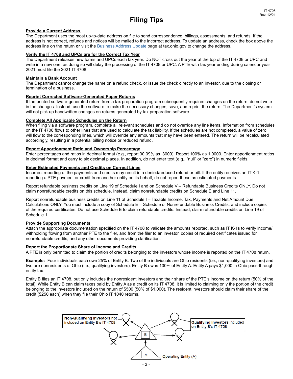## **Filing Tips**

#### **Provide a Current Address**

The Department uses the most up-to-date address on file to send correspondence, billings, assessments, and refunds. If the address is not correct, refunds and notices will be mailed to the incorrect address. To update an address, check the box above the address line on the return **or** visit the [Business Address Update](https://tax.ohio.gov/wps/portal/gov/tax/search/?1dmy&urile=wcm%3apath%3a/Ohio%20Content%20English/tax/business/resources/business-address-update-form) page at tax.ohio.gov to change the address.

#### **Verify the IT 4708 and UPCs are for the Correct Tax Year**

The Department releases new forms and UPCs each tax year. Do NOT cross out the year at the top of the IT 4708 or UPC and write in a new one, as doing so will delay the processing of the IT 4708 or UPC. A PTE with tax year ending during calendar year 2021 must file the 2021 IT 4708.

#### **Maintain a Bank Account**

The Department cannot change the name on a refund check, or issue the check directly to an investor, due to the closing or termination of a business.

#### **Reprint Corrected Software-Generated Paper Returns**

If the printed software-generated return from a tax preparation program subsequently requires changes on the return, do not write in the changes. Instead, use the software to make the necessary changes, save, and reprint the return. The Department's system will not pick up handwritten changes on returns generated by tax preparation software.

#### **Complete All Applicable Schedules on the Return**

When filing via a software program, complete all relevant schedules and do not override any line items. Information from schedules on the IT 4708 flows to other lines that are used to calculate the tax liability. If the schedules are not completed, a value of zero will flow to the corresponding lines, which will override any amounts that may have been entered. The return will be recalculated accordingly, resulting in a potential billing notice or reduced refund.

#### **Report Apportionment Ratio and Ownership Percentage**

Enter percentages and ratios in decimal format (e.g., report 30.09% as .3009). Report 100% as 1.0000. Enter apportionment ratios in decimal format and carry to six decimal places. In addition, do not enter text (e.g., "null" or "zero") in numeric fields.

#### **Enter Estimated Payments and Credits on Correct Lines**

Incorrect reporting of the payments and credits may result in a denied/reduced refund or bill. If the entity receives an IT K-1 reporting a PTE payment or credit from another entity on its behalf, do not report these as estimated payments.

Report refundable business credits on Line 19 of Schedule I and on Schedule V – Refundable Business Credits ONLY. Do not claim nonrefundable credits on this schedule. Instead, claim nonrefundable credits on Schedule E and Line 11.

Report nonrefundable business credits on Line 11 of Schedule I – Taxable Income, Tax, Payments and Net Amount Due Calculations ONLY. You must include a copy of Schedule E – Schedule of Nonrefundable Business Credits, and include copies of the required certificates. Do not use Schedule E to claim refundable credits. Instead, claim refundable credits on Line 19 of Schedule 1.

#### **Provide Supporting Documents**

Attach the appropriate documentation specified on the IT 4708 to validate the amounts reported, such as IT K-1s to verify income/ withholding flowing from another PTE to the filer, and from the filer to an investor, copies of required certificates issued for nonrefundable credits, and any other documents providing clarification.

#### **Report the Proportionate Share of Income and Credits**

A PTE is only permitted to claim the portion of credits belonging to the investors whose income is reported on the IT 4708 return.

**Example:** Four individuals each own 25% of Entity B. Two of the individuals are Ohio residents (i.e., non-qualifying investors) and two are nonresidents of Ohio (i.e., qualifying investors). Entity B owns 100% of Entity A. Entity A pays \$1,000 in Ohio pass-through entity tax.

Entity B files an IT 4708, but only includes the nonresident investors and their share of the PTE's income on the return (50% of the total). While Entity B can claim taxes paid by Entity A as a credit on its IT 4708, it is limited to claiming only the portion of the credit belonging to the investors included on the return of \$500 (50% of \$1,000). The resident investors should claim their share of the credit (\$250 each) when they file their Ohio IT 1040 returns.

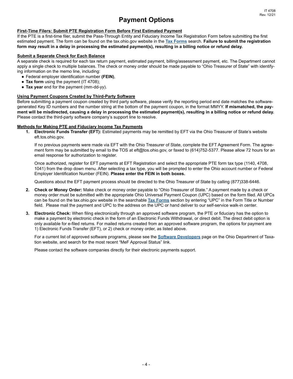## **Payment Options**

#### **First-Time Filers: Submit PTE Registration Form Before First Estimated Payment**

If the PTE is a first-time filer, submit the Pass-Through Entity and Fiduciary Income Tax Registration Form before submitting the first estimated payment. The form can be found on the tax.ohio.gov website in the **[Tax Forms](https://tax.ohio.gov/wps/portal/gov/tax/individual/get-a-form)** search. **Failure to submit the registration form may result in a delay in processing the estimated payment(s), resulting in a billing notice or refund delay.**

#### **Submit a Separate Check for Each Balance**

A separate check is required for each tax return payment, estimated payment, billing/assessment payment, etc. The Department cannot apply a single check to multiple balances. The check or money order should be made payable to "Ohio Treasurer of State" with identifying information on the memo line, including:

- Federal employer identification number **(FEIN)**,
- Tax form using the payment (IT 4708);
- **Tax year** end for the payment (mm-dd-yy).

#### **Using Payment Coupons Created by Third-Party Software**

Before submitting a payment coupon created by third party software, please verify the reporting period end date matches the softwaregenerated Key ID numbers and the number string at the bottom of the payment coupon, in the format MMYY. **If mismatched, the payment will be misdirected, causing a delay in processing the estimated payment(s), resulting in a billing notice or refund delay.** Please contact the third-party software company's support line to resolve.

#### **Methods for Making PTE and Fiduciary Income Tax Payments**

**1. Electronic Funds Transfer (EFT):** Estimated payments may be remitted by EFT via the Ohio Treasurer of State's website eft.tos.ohio.gov.

If no previous payments were made via EFT with the Ohio Treasurer of State, complete the EFT Agreement Form. The agreement form may be submitted by email to the TOS at eft@tos.ohio.gov, or faxed to (614)752-5377. Please allow 72 hours for an email response for authorization to register.

Once authorized, register for EFT payments at EFT Registration and select the appropriate PTE form tax type (1140, 4708, 1041) from the drop down menu. After selecting a tax type, you will be prompted to enter the Ohio account number or Federal Employer Identification Number (FEIN). **Please enter the FEIN in both boxes.**

Questions about the EFT payment process should be directed to the Ohio Treasurer of State by calling (877)338-6446.

- **2. Check or Money Order:** Make check or money order payable to "Ohio Treasurer of State." A payment made by a check or money order must be submitted with the appropriate Ohio Universal Payment Coupon (UPC) based on the form filed. All UPCs can be found on the tax.ohio.gov website in the searchable **[Tax Forms](https://tax.ohio.gov/wps/portal/gov/tax/individual/get-a-form)** section by entering "UPC" in the Form Title or Number field. Please mail the payment and UPC to the address on the UPC or hand deliver to our self-service walk-in center.
- **3. Electronic Check:** When filing electronically through an approved software program, the PTE or fiduciary has the option to make a payment by electronic check in the form of an Electronic Funds Withdrawal, or direct debit. The direct debit option is only available for e-filed returns. For mailed returns created from an approved software program, the options for payment are 1) Electronic Funds Transfer (EFT), or 2) check or money order, as listed above.

For a current list of approved software programs, please see the **[Software Developers](https://tax.ohio.gov/wps/portal/gov/tax/business/resources/softwaredevelopers)** page on the Ohio Department of Taxation website, and search for the most recent "MeF Approval Status" link.

Please contact the software companies directly for their electronic payments support.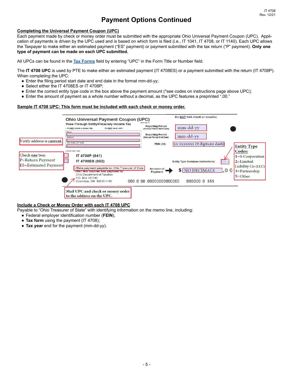## **Payment Options Continued**

#### **Completing the Universal Payment Coupon (UPC)**

Each payment made by check or money order must be submitted with the appropriate Ohio Universal Payment Coupon (UPC). Application of payments is driven by the UPC used and is based on which form is filed (i.e., IT 1041, IT 4708, or IT 1140). Each UPC allows the Taxpayer to make either an estimated payment ("ES" payment) or payment submitted with the tax return ("P" payment). **Only one type of payment can be made on each UPC submitted.**

All UPCs can be found in the **[Tax Forms](https://tax.ohio.gov/wps/portal/gov/tax/individual/get-a-form)** field by entering "UPC" in the Form Title or Number field.

The **IT 4708 UPC** is used by PTE to make either an estimated payment (IT 4708ES) or a payment submitted with the return (IT 4708P). When completing the UPC:

- Enter the filing period start date and end date in the format mm-dd-yy;
- Select either the IT 4708ES or IT 4708P;
- Enter the correct entity type code in the box above the payment amount (\*see codes on instructions page above UPC);
- Enter the amount of payment as a whole number without a decimal, as the UPC features a preprinted ".00."

#### **Sample IT 4708 UPC: This form must be included with each check or money order.**



#### **Include a Check or Money Order with each IT 4708 UPC**

Payable to "Ohio Treasurer of State" with identifying information on the memo line, including:

- Federal employer identification number (**FEIN**),
- Tax form using the payment (IT 4708);
- **Tax year** end for the payment (mm-dd-yy).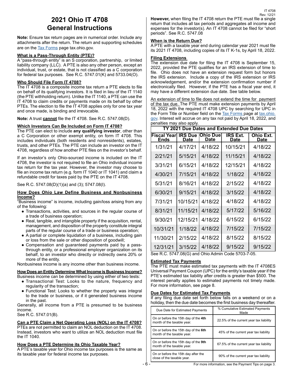## **2021 Ohio IT 4708 General Instructions**

**Note:** Ensure tax return pages are in numerical order. Include any attachments after the return. The return and supporting schedules are on the [Tax Forms](https://tax.ohio.gov/wps/portal/gov/tax/individual/get-a-form) page [tax.ohio.gov.](https://tax.ohio.gov/wps/portal/gov/tax/individual/get-a-form)

#### **What is a Pass-Through Entity (PTE)?**

A "pass-through entity" is an S corporation, partnership, or limited liability company (LLC). A PTE is also any other person, except an individual, trust, or estate, that is not classified as a C corporation for federal tax purposes. See R.C. 5747.01(K) and 5733.04(O).

#### **Who Should File Form IT 4708?**

The IT 4708 is a composite income tax return a PTE elects to file on behalf of its qualifying investors. It is filed in lieu of the IT 1140 (the PTE withholding return). Unlike the IT 1140, a PTE can use the IT 4708 to claim credits or payments made on its behalf by other PTEs. The election to file the IT 4708 applies only for one tax year and once made, is binding and irrevocable.

**Note:** A trust **cannot** file the IT 4708. See R.C. 5747.08(D).

#### **Which Investors Can Be Included on Form IT 4708?**

The PTE can elect to include **any qualifying investor**, other than a C Corporation or other exempt entity, on form IT 4708. This includes individuals (both residents and nonresidents), estates, trusts, and other PTEs. The PTE can include an investor on the IT 4708, regardless of how another PTE files on the investor's behalf.

If an investor's only Ohio-sourced income is included on the IT 4708, the investor is not required to file an Ohio individual income tax return for the tax year. However, the investor may choose to file an income tax return (e.g. form IT 1040 or IT 1041) and claim a refundable credit for taxes paid by the PTE on the IT 4708.

See R.C. 5747.08(D)(1)(a) and (3); 5747.08(I).

#### **How Does Ohio Law Define Business and Nonbusiness Income?**

"Business income" is income, including gain/loss arising from any of the following:

- Transactions, activities, and sources in the regular course of a trade of business operation;
- Real, tangible, and intangible property if the acquisition, rental, management, and disposition of the property constitute integral parts of the regular course of a trade or business operation;
- A partial or complete liquidation of a business, including gain or loss from the sale or other disposition of goodwill;
- Compensation and guaranteed payments paid by a passthrough entity, or a professional employer organization on its behalf, to an investor who directly or indirectly owns 20% or more of the entity.

Nonbusiness income is any income other than business income.

#### **How Does an Entity Determine What Income is Business Income?**

- Business income can be determined by using either of two tests:
	- Transactional Test: Looks to the nature, frequency and regularity of the transaction;
	- Functional Test: Looks to whether the property was integral to the trade or business, or if it generated business income in the past.

Generally, all income from a PTE is presumed to be business income.

See R.C. 5747.01(B).

#### **Can a PTE Claim a Net Operating Loss (NOL) on the IT 4708?**

PTEs are not permitted to claim an NOL deduction on the IT 4708. Instead, investors who want to utilize an NOL deduction must file the IT 1040.

#### **How Does a PTE Determine its Ohio Taxable Year?**

A PTE's taxable year for Ohio income tax purposes is the same as its taxable year for federal income tax purposes.

**However,** when filing the IT 4708 return the PTE must file a single return that includes all tax periods and aggregates all income and expenses for the investor(s). An IT 4708 cannot be filed for "short periods". See R.C. 5747.08 Rev. 12/21

IT 4708

#### **When is the Return Due?**

A PTE with a taxable year end during calendar year 2021 must file its 2021 IT 4708, including copies of its IT K-1s, by April 18, 2022.

#### **Filing Extensions**

The extension due date for filing the IT 4708 is September 15, 2022, provided the PTE qualifies for an IRS extension of time to file. Ohio does not have an extension request form but honors the IRS extension. Include a copy of the IRS extension or IRS acknowledgement, and/or the extension confirmation number if electronically filed. However, if the PTE has a fiscal year end, it may have a different extension due date. See table below.

An extension of time to file does not extend the time for payment of the tax due. The PTE must make extension payments by April 18, 2022 with the required IT 4708 UPC by searching for UPC in the Form Title or Number field on the [Tax Forms](https://tax.ohio.gov/wps/portal/gov/tax/individual/get-a-form) page at [tax.ohio.](http://tax.ohio.gov) [gov.](http://tax.ohio.gov) Interest will accrue on any tax not paid by April 18, 2022, and penalties may also apply.

| TY 2021 Due Dates and Extended Due Dates |                               |                          |                                |                          |  |  |
|------------------------------------------|-------------------------------|--------------------------|--------------------------------|--------------------------|--|--|
| <b>Fiscal Year</b><br>Ends               | <b>IRS Due</b><br><b>Date</b> | lOhio Due<br><b>Date</b> | <b>IRS Ext.</b><br><b>Date</b> | <b>Ohio Ext.</b><br>Date |  |  |
| 1/31/21                                  | 4/17/21                       | 4/18/22                  | 10/15/21                       | 4/18/22                  |  |  |
| 2/21/21                                  | 5/15/21                       | 4/18/22                  | 11/15/21                       | 4/18/22                  |  |  |
| 3/31/21                                  | 6/15/21                       | 4/18/22                  | 12/15/21                       | 4/18/22                  |  |  |
| 4/30/21                                  | 7/15/21                       | 4/18/22                  | 1/18/22                        | 4/18/22                  |  |  |
| 5/31/21                                  | 8/16/21                       | 4/18/22                  | 2/15/22                        | 4/18/22                  |  |  |
| 6/30/21                                  | 9/15/21                       | 4/18/22                  | 3/15/22                        | 4/18/22                  |  |  |
| 7/31/21                                  | 10/15/21                      | 4/18/22                  | 4/18/22                        | 4/18/22                  |  |  |
| 8/31/21                                  | 11/15/21                      | 4/18/22                  | 5/17/22                        | 5/16/22                  |  |  |
| 9/30/21                                  | 12/15/21                      | 4/18/22                  | 6/15/22                        | 6/15/22                  |  |  |
| 10/31/21                                 | 1/18/22                       | 4/18/22                  | 7/15/22                        | 7/15/22                  |  |  |
| 11/30/21                                 | 2/15/22                       | 4/18/22                  | 8/15/22                        | 8/15/22                  |  |  |
| 12/31/21                                 | 3/15/22                       | 4/18/22                  | 9/15/22                        | 9/15/22                  |  |  |

See R.C. 5747.08(G) and Ohio Admin Code 5703-7-05.

#### **Estimated Tax Payments**

The PTE must make estimated tax payments with the IT 4708ES Universal Payment Coupon (UPC) for the entity's taxable year if the PTE's estimated tax liability after credits is greater than \$500. The interest penalty applies to estimated payments not timely made. For more information, see page 8.

#### **Due Dates for Estimated Tax Payments**

If any filing due date set forth below falls on a weekend or on a holiday, then the due date becomes the first business day thereafter.

| Due Date for Estimated Payments                                    | % Cumulative Estimated Payments<br>Made |
|--------------------------------------------------------------------|-----------------------------------------|
| On or before the 15th day of the 4th<br>month of the taxable year. | 22.5% of the current year tax liability |
| On or before the 15th day of the 6th<br>month of the taxable year. | 45% of the current year tax liability   |
| On or before the 15th day of the 9th<br>month of the taxable year. | 67.5% of the current year tax liability |
| On or before the 15th day after the<br>close of the taxable year.  | 90% of the current year tax liability   |

- 6 -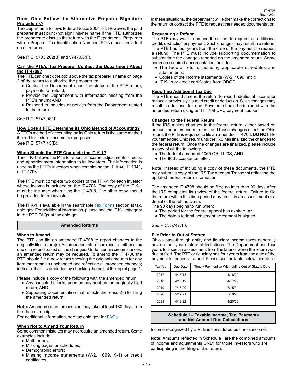#### **Does Ohio Follow the Alternative Preparer Signature Procedures?**

The Department follows federal Notice 2004-54. However, the paid preparer **must** print (not sign) his/her name if the PTE authorizes the preparer to discuss the return with the Department. Preparers with a Preparer Tax Identification Number (PTIN) must provide it on all returns.

See R.C. 5703.262(B) and 5747.08(F).

#### **Can the PTE's Tax Preparer Contact the Department About the IT 4708?**

The PTE can check the box above the tax preparer's name on page 2 of the return to authorize the preparer to:

- Contact the Department about the status of the PTE return, payments, or refund;
- Provide the Department with information missing from the PTE's return; AND
- Respond to inquiries or notices from the Department related to the return.

See R.C. 5747.08(J).

#### **How Does a PTE Determine its Ohio Method of Accounting?**

A PTE's method of accounting on its Ohio return is the same method it used for federal income tax purposes. See R.C. 5747.45(B).

#### **When Should the PTE Complete the IT K-1?**

The IT K-1 allows the PTE to report its income, adjustments, credits, and apportionment information to its investors. The information is used by the PTE's investors when completing the IT 1040, IT 1041, or IT 4708.

The PTE must complete two copies of the IT K-1 for each investor whose income is included on the IT 4708. One copy of the IT K-1 must be included when filing the IT 4708. The other copy should be provided to the investor.

The IT K-1 is available in the searchable [Tax Forms](https://tax.ohio.gov/wps/portal/gov/tax/individual/get-a-form) section at tax. ohio.gov. For additional information, please see the IT K-1 category in the PTE FAQs at tax.ohio.gov.

#### **Amended Returns**

#### **When to Amend**

The PTE can file an amended IT 4708 to report changes to the originally filed return(s). An amended return can result in either a tax due or a refund based on the changes. Under certain circumstances, an amended return may be required. To amend the IT 4708 the PTE should file a new return showing the original amounts for any item that remains unchanged and reflecting all proposed changes; indicate that it is amended by checking the box at the top of page 1.

Please include a copy of the following with the amended return:

- Any canceled checks used as payment on the originally filed return; AND
- Supporting documentation that reflects the reason(s) for filing the amended return.

**Note:** Amended return processing may take at least 180 days from the date of receipt.

For additional information, see tax.ohio.gov for [FAQs](https://tax.ohio.gov/wps/portal/gov/tax/help-center/faqs#page=1).

#### **When Not to Amend Your Return**

Some common mistakes may not require an amended return. Some examples include:

- Math errors;
- Missing pages or schedules;
- Demographic errors;
- Missing income statements (W-2, 1099, K-1) or credit certificates.

In these situations, the department will either make the corrections to the return or contact the PTE to request the needed documentation.

#### **Requesting a Refund**

The PTE may want to amend the return to request an additional credit, deduction or payment. Such changes may result in a refund. The PTE has four years from the date of the payment to request a refund. The PTE must include supporting documentation to substantiate the changes reported on the amended return. Some common required documentation includes:

- The federal return, including applicable schedules and attachments;
- Copies of the income statements (W-2, 1099, etc.);
- IT K-1s or credit certificates from ODOD.

#### **Reporting Additional Tax Due**

The PTE should amend the return to report additional income or reduce a previously claimed credit or deduction. Such changes may result in additional tax due. Payment should be included with the amended return using an IT 4708 UPC payment coupon

#### **Changes to the Federal Return**

If the IRS makes changes to the federal return, either based on an audit or an amended return, and those changes affect the Ohio return, the PTE is required to file an amended IT 4708. **DO NOT** file your amended Ohio return until the IRS has finalized the changes to the federal return. Once the changes are finalized, please include a copy of all the following:

- The federal amended 1065 OR 1120S; AND
- The IRS acceptance letter.

**Note:** Instead of including a copy of these documents, the PTE may submit a copy of the IRS Tax Account Transcript reflecting the updated federal return information.

The amended IT 4708 should be filed no later than 90 days after the IRS completes its review of the federal return. Failure to file the return within this time period may result in an assessment or a denial of the refund claim.

The 90 days begins to run when:

- The period for the federal appeal has expired, **or**
- The date a federal settlement agreement is signed.

See R.C. 5747.10.

#### **File Prior to Out of Statute**

Ohio's pass-through entity and fiduciary income taxes generally have a four-year statute of limitations. The Department has four years to issue an assessment from the later of when the return was due or filed. The PTE or fiduciary has four years from the date of the payment to request a refund. Please see the table below for details.

| Tax Year | Due Date | Timely Payment or Withholding Out-of-Statute Date |
|----------|----------|---------------------------------------------------|
| 2017     | 4/18/18  | 4/18/22                                           |
| 2018     | 4/15/19  | 4/17/23                                           |
| 2019     | 7/15/20  | 7/15/24                                           |
| 2020     | 5/17/21  | 5/19/25                                           |
| 2021     | 4/18/22  | 4/20/26                                           |

#### **Schedule I – Taxable Income, Tax, Payments and Net Amount Due Calculations**

Income recognized by a PTE is considered business income.

**Note:** Amounts reflected in Schedule I are the combined amounts of income and adjustments ONLY for those investors who are participating in the filing of this return.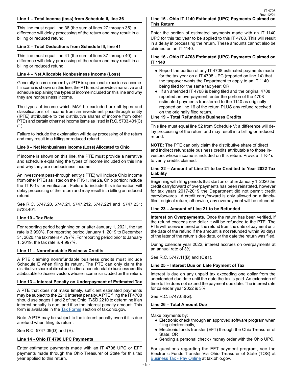This line must equal line 36 (the sum of lines 27 through 35); a difference will delay processing of the return and may result in a billing or reduced refund.

#### **Line 2 – Total Deductions from Schedule III, line 41**

This line must equal line 41 (the sum of lines 37 through 40); a difference will delay processing of the return and may result in a billing or reduced refund.

#### **Line 4 – Net Allocable Nonbusiness Income (Loss)**

Generally, income earned by a PTE is apportionable business income. If income is shown on this line, the PTE must provide a narrative and schedule explaining the types of income included on this line and why they are nonbusiness income.

The types of income which MAY be excluded are all types and classifications of income from an investment pass-through entity (IPTE) attributable to the distributive shares of income from other PTEs and certain other net income items as listed in R.C. 5733.401(C) (1).

Failure to include the explanation will delay processing of the return and may result in a billing or reduced refund.

#### **Line 8 – Net Nonbusiness Income (Loss) Allocated to Ohio**

If income is shown on this line, the PTE must provide a narrative and schedule explaining the types of income included on this line and why they are nonbusiness income.

An investment pass-through entity (IPTE) will include Ohio income from other PTEs as listed on the IT K-1, line 2a, Ohio portion; include the IT K-1s for verification. Failure to include this information will delay processing of the return and may result in a billing or reduced refund.

See R.C. 5747.20, 5747.21, 5747.212, 5747.221 and 5747.231; 5733.401.

#### **Line 10 - Tax Rate**

For reporting period beginning on or after January 1, 2021, the tax rate is 3.990%. For reporting period January 1, 2019 to December 31, 2020, the tax rate is 4.797%. For reporting period prior to January 1, 2019, the tax rate is 4.997%.

#### **Line 11 – Nonrefundable Business Credits**

A PTE claiming nonrefundable business credits must include Schedule E when filing its return. The PTE can only claim the distributive share of direct and indirect nonrefundable business credits attributable to those investors whose income is included on this return.

#### **Line 13 – Interest Penalty on Underpayment of Estimated Tax**

A PTE that does not make timely, sufficient estimated payments may be subject to the 2210 interest penalty. A PTE filing the IT 4708 should use pages 1 and 2 of the Ohio IT/SD 2210 to determine if an interest penalty is due, and if so the interest penalty amount. This form is available in the **Tax Forms** section of tax.ohio.gov.

Note: A PTE may be subject to the interest penalty even if it is due a refund when filing its return.

See R.C. 5747.09(D) and (E).

#### **Line 14 - Ohio IT 4708 UPC Payments**

Enter estimated payments made with an IT 4708 UPC or EFT payments made through the Ohio Treasurer of State for this tax year applied to this return.

Enter the portion of estimated payments made with an IT 1140 UPC for this tax year to be applied to this IT 4708. This will result in a delay in processing the return. These amounts cannot also be claimed on an IT 1140.

#### **Line 16 - Ohio IT 4708 Estimated (UPC) Payments Claimed on IT 1140**

- Report the portion of any IT 4708 estimated payments made for the tax year on a IT 4708 UPC (reported on line 14) that the taxpayer wants the Department to apply to an IT 1140 being filed for the same tax year; OR
- If an amended IT 4708 is being filed and the original 4708 reported an overpayment, enter the portion of the 4708 estimated payments transferred to the 1140 as originally reported on line 16 of the return PLUS any refund received on the originally filed return.

#### **Line 19 – Total Refundable Business Credits**

This line must equal line 52 from Schedule V; a difference will delay processing of the return and may result in a billing or reduced refund.

**NOTE:** The PTE can only claim the distributive share of direct and indirect refundable business credits attributable to those investors whose income is included on this return. Provide IT K-1s to verify credits claimed.

#### **Line 22 – Amount of Line 21 to be Credited to Year 2022 Tax Liability**

Beginning with filing periods that start on or after January 1, 2020 the credit carryforward of overpayments has been reinstated, however for tax years 2017-2019 the Department did not permit credit carryforwards. A credit carryforward is only allowed on a timelyfiled, original return; otherwise, any overpayment will be refunded.

#### **Line 23 – Amount of Line 21 to be Refunded**

**Interest on Overpayments**. Once the return has been verified, if the refund exceeds one dollar it will be refunded to the PTE. The PTE will receive interest on the refund from the date of payment until the date of the refund if the amount is not refunded within 90 days of the later of the return's due date, or the date the return was filed.

During calendar year 2022, interest accrues on overpayments at an annual rate of 3%.

See R.C. 5747.11(B) and (C)(1).

#### **Line 25 – Interest Due on Late Payment of Tax**

Interest is due on any unpaid tax exceeding one dollar from the unextended due date until the date the tax is paid. An extension of time to file does not extend the payment due date. The interest rate for calendar year 2022 is 3%.

See R.C. 5747.08(G).

#### **Line 26 – Total Amount Due**

Make payments by:

- Electronic check through an approved software program when filing electronically,
- Electronic funds transfer (EFT) through the Ohio Treasurer of State; OR
- Sending a personal check / money order with the Ohio UPC.

For questions regarding the EFT payment program, see the Electronic Funds Transfer Via Ohio Treasurer of State (TOS) at [Business Tax - Pay Online](https://tax.ohio.gov/wps/portal/gov/tax/business/pay-online/businesspayonline ) at tax.ohio.gov.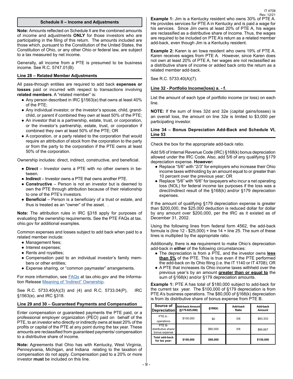**Note:** Amounts reflected on Schedule II are the combined amounts of income and adjustments **ONLY** for those investors who are participating in the filing of this return. The amounts included are those which, pursuant to the Constitution of the United States, the Constitution of Ohio, or any other Ohio or federal law, are subject to a tax measured by net income.

Generally, all income from a PTE is presumed to be business income. See R.C. 5747.01(B).

#### **Line 28 – Related Member Adjustments**

All pass-through entities are required to add back **expenses or losses** paid or incurred with respect to transactions involving **related members**. A "related member" is:

- Any person described in IRC §1563(e) that owns at least 40% of the PTE;
- Any individual investor, or the investor's spouse, child, grandchild, or parent if combined they own at least 50% of the PTE;
- An investor that is a partnership, estate, trust, or corporation, or the investor's partnership, estate, trust, or corporation if combined they own at least 50% of the PTE; OR
- A corporation, or a party related to the corporation that would require an attribution of stock from the corporation to the party or from the party to the corporation if the PTE owns at least 50% of the corporation.

Ownership includes: direct, indirect, constructive, and beneficial.

- **Direct** Investor owns a PTE with no other owners in between.
- **Indirect** Investor owns a PTE that owns another PTE.
- **Constructive** Person is not an investor but is deemed to own the PTE through attribution because of their relationship to one of the PTE's investors.
- **Beneficial** Person is a beneficiary of a trust or estate, and thus is treated as an "owner" of the asset. .

**Note:** The attribution rules in IRC §318 apply for purposes of evaluating the ownership requirements. See the PTE FAQs at tax. ohio.gov for additional examples.

Common expenses and losses subject to add back when paid to a related member include:

- Management fees;
- Interest expenses;
- Rents and royalties;
- Compensation paid to an individual investor's family members or other entities;
- Expense sharing, or "common paymaster" arrangements.

For more information, see **FAQs** at tax.ohio.gov and the Informa-tion Release [Meaning of "Indirect" Ownership](https://tax.ohio.gov/static/ohio_individual/individual/pitindirectownershipfinal.pdf).

See R.C. 5733.40(A)(3) and (4) and R.C. 5733.04(P), IRC §1563(e), and IRC §318.

#### **Line 29 and 30 – Guaranteed Payments and Compensation**

Enter compensation or guaranteed payments the PTE paid, or a professional employer organization (PEO) paid on behalf of the PTE, to an investor who directly or indirectly owns at least 20% of the profits or capital of the PTE at any point during the tax year. These amounts are reclassified from guaranteed payments/ compensation to a distributive share of income.

**Note:** Agreements that Ohio has with Kentucky, West Virginia, Pennsylvania, Michigan, and Indiana relating to the taxation of compensation do not apply. Compensation paid to a 20% or more investor **must** be included on this line.

**Example 1:** Jim is a Kentucky resident who owns 30% of PTE A. He provides services for PTE A in Kentucky and is paid a wage for his services. Since Jim owns at least 20% of PTE A, his wages are reclassified as a distributive share of income. Thus, the wages are required to be included on PTE A's return as a related member add-back, even though Jim is a Kentucky resident.

**Example 2:** Karen is an Iowa resident who owns 19% of PTE A. Karen receives wages from PTE A. However, since Karen does not own at least 20% of PTE A, her wages are not reclassified as a distributive share of income or added back onto the return as a related member add-back.

See R.C. 5733.40(A)(7).

#### **Line 32 - Portfolio Income(loss) a. - f.**

List the amount of each type of portfolio income (or loss) on each line.

**NOTE:** If the sum of lines 32d and 32e (capital gains/losses) is an overall loss, the amount on line 32e is limited to \$3,000 per participating investor.

#### **Line 34 – Bonus Depreciation Add-Back and Schedule VI, Line 53**

Check the box for the appropriate add-back ratio.

Add 5/6 of Internal Revenue Code (IRC) §168(k) bonus depreciation allowed under the IRC Code. Also, add 5/6 of any qualifying §179 depreciation expense. **However:**

- Replace "5/6" with "2/3" for employers who increase their Ohio income taxes withholding by an amount equal to or greater than 10 percent over the previous year; OR
- Replace "5/6" with "6/6" for taxpayers who incur a net operating loss (NOL) for federal income tax purposes if the loss was a direct/indirect result of the §168(k) and/or §179 depreciation expenses.

If the amount of qualifying §179 depreciation expense is greater than \$200,000, the \$25,000 deduction is reduced dollar for dollar by any amount over \$200,000, per the IRC as it existed as of December 31, 2002.

Using the following lines from federal form 4562, the add-back formula is (line  $12 - $25,000$ ) + line  $14 +$  line 25. The sum of these lines is multiplied by the appropriate ratio.

Additionally, there is **no** requirement to make Ohio's depreciation add-back in **either** of the following circumstances:

- The depreciation is from a PTE, and the investor owns **less than 5%** of the PTE. This is true even if the PTE performed the add-back on its Ohio filing (i.e. the IT 1140 or IT 4708); OR
- A PTE that increases its Ohio income taxes withheld over the previous year's by an amount **greater than or equal to** the sum of §168(k) and/or §179 depreciation amounts.

**Example 1: PTE A has total of \$180,000 subject to add-back for** the current tax year. The \$100,000 of §179 depreciation is from PTE A's business operations. The \$80,000 of §168(k) depreciation is from its distributive share of bonus expense from PTE B.

| Source of<br>Depreciation                      | Add-back Amount<br>(§179 \$25,000) | \$168(k) | Add-back<br>Ratio | Add back<br>Amount |
|------------------------------------------------|------------------------------------|----------|-------------------|--------------------|
| PTEA-<br>operations                            | \$100,000                          | \$0      | 5/6               | \$83.333           |
| PTE B-<br>distributive share/<br>bonus expense |                                    | \$80,000 | 5/6               | \$66,667           |
| Total add-back<br>for tax year:                | \$100,000                          | \$80,000 |                   | \$150,000          |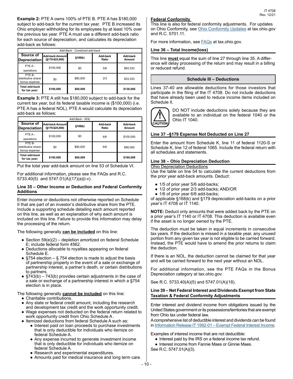| Add-Back - Combined add-back                   |                                                      |          |                   |                    |  |  |
|------------------------------------------------|------------------------------------------------------|----------|-------------------|--------------------|--|--|
| Source of<br><b>Depreciation</b>               | <b>Add-back Amount</b><br>§168(k)<br>(§179-\$25,000) |          | Add-back<br>Ratio | Add back<br>Amount |  |  |
| PTE A-<br>operations                           | \$100,000                                            | \$0      | 5/6               | \$83.333           |  |  |
| PTE B-<br>distributive share/<br>bonus expense | \$0                                                  | \$80,000 | 2/3               | \$53,333           |  |  |
| Total add-back<br>for tax year:                | \$100,000                                            | \$80,000 |                   | \$136,666          |  |  |

**Example 3:** PTE A still has \$180,000 subject to add-back for the current tax year, but its federal taxable income is (\$100,000) (i.e. PTE A has a federal NOL). PTE A would calculate its depreciation add-back as follows:

|                                                |                                    | Add-Back - NOL |                   |                    |
|------------------------------------------------|------------------------------------|----------------|-------------------|--------------------|
| Source of<br><b>Depreciation</b>               | Add-back Amount<br>(§179-\$25,000) | §168(k)        | Add-back<br>Ratio | Add back<br>Amount |
| PTE A-<br>operations                           | \$100,000                          | \$0            | 6/6               | \$100,000          |
| PTE B-<br>distributive share/<br>bonus expense | \$0                                | \$80,000       | 6/6               | \$80,000           |
| Total add-back<br>for tax year:                | \$100,000                          | \$80,000       |                   | \$180,000          |

Put the total year add-back amount on line 53 of Schedule VI.

For additional information, please see the FAQs and R.C. 5733.40(5) and 5747.01(A)(17)(a)(i-v).

#### **Line 35 – Other Income or Deduction and Federal Conformity Additions**

Enter income or deductions not otherwise reported on Schedule II that are part of an investor's distributive share from the PTE. Include a supporting schedule detailing each amount reported on this line, as well as an explanation of why each amount is included on this line. Failure to provide this information may delay the processing of the return.

The following generally **can be included** on this line:

- Section  $59(e)(2)$  depletion amortized on federal Schedule E; include federal form 4562.
- Deductions allocable to royalties appearing on federal Schedule E.
- $§754$  election  $§ 754$  election is made to adjust the basis of partnership property in the event of a sale or exchange of partnership interest, a partner's death, or certain distributions to partners.
- $\bullet$  §743(b) 743(b) provides certain adjustments in the case of a sale or exchange of a partnership interest in which a §754 election is in place.

The following generally **cannot be included** on this line:

- Charitable contributions.
- Any state or federal credit amount, including the research and development tax credit and the work opportunity credit.
- Wage expenses not deducted on the federal return related to work opportunity credit from Ohio Schedule A .
- Itemized deductions from federal Schedule A such as:
	- Interest paid on loan proceeds to purchase investments that is only deductible for individuals who itemize on federal Schedule A.
	- Any expense incurred to generate investment income that is only deductible for individuals who itemize on federal Schedule A.
	- Research and experimental expenditures.
	- Amounts paid for medical insurance and long term care.

#### **Federal Conformity**

This line is also for federal conformity adjustments. For updates on Ohio Conformity, see [Ohio Conformity Updates](https://tax.ohio.gov/wps/portal/gov/tax/search/?1dmy&urile=wcm%3apath%3a/Ohio%20Content%20English/tax/individual/resources/conformity-update) at tax.ohio.gov and R.C. 5701.11.

For more information, see **[FAQs](https://tax.ohio.gov/wps/portal/gov/tax/help-center/faqs#page=1)** at tax.ohio.gov.

#### **Line 36 – Total Income(loss)**

This line **must** equal the sum of line 27 through line 35. A difference will delay processing of the return and may result in a billing or reduced refund.

#### **Schedule III – Deductions**

Lines 37-40 are allowable deductions for those investors that participate in the filing of the IT 4708. Do not include deductions that have already been used to reduce income items included on Schedule II.



DO NOT include deductions solely because they are available to an individual on the federal 1040 or the Ohio IT 1040.

#### **Line 37 –§179 Expense Not Deducted on Line 27**

Enter the amount from Schedule K, line 11 of federal 1120-S or Schedule K, line 12 of federal 1065. Include the federal return with all schedules and statements.

#### **Line 38 – Ohio Depreciation Deduction**

#### Ohio Depreciation Deductions

Use the table on line 54 to calculate the current deductions from the prior year add-back amounts. Deduct:

- 1/5 of prior year 5/6 add-backs;
- 1/2 of prior year 2/3 add-backs; AND/OR
- 1/6 of prior year 6/6 add-backs;

of applicable §168(k) and §179 depreciation add-backs on a prior year's IT 4708 or IT 1140.

**NOTE:** Deduct only amounts that were added back by the PTE on a prior year's IT 1140 or IT 4708. This deduction is available even if the asset is no longer owned by the PTE.

The deduction must be taken in equal increments in consecutive tax years. If the deduction is missed in a taxable year, any unused portion from any given tax year is not eligible to be carried forward. Instead, the PTE would have to amend the prior returns to claim the deduction.

If there is an NOL, the deduction cannot be claimed for that year and will be carried forward to the next year without an NOL.

For additional information, see the PTE FAQs in the Bonus Depreciation category at tax.ohio.gov.

See R.C. 5733.40(A)(5) and 5747.01(A)(18).

#### **Line 39 – Net Federal Interest and Dividends Exempt from State Taxation & Federal Conformity Adjustments**

Enter interest and dividend income from obligations issued by the United States government or its possessions/territories that are exempt from Ohio tax under federal law.

A comprehensive list of deductible interest and dividends can be found in Information Release IT 1992-01 - Exempt Federal Interest Income.

Examples of interest income that are not deductible:

- Interest paid by the IRS on a federal income tax refund.
- Interest income from Fannie Maes or Ginnie Maes.
- See R.C. 5747.01(A)(3).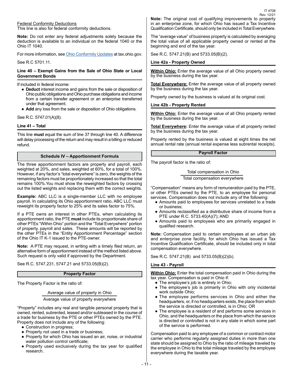Federal Conformity Deductions This line is also for federal conformity deductions.

**Note:** Do not enter any federal adjustments solely because the deduction is available to an individual on the federal 1040 or the Ohio IT 1040.

For more information, see [Ohio Conformity Updates](https://tax.ohio.gov/wps/portal/gov/tax/individual/resources/conformity-update) at tax.ohio.gov.

See R.C 5701.11.

#### **Line 40 – Exempt Gains from the Sale of Ohio State or Local Government Bonds**

If included in federal income:

- **Deduct** interest income and gains from the sale or disposition of Ohio public obligations and Ohio purchase obligations and income from a certain transfer agreement or an enterprise transferred under that agreement.
- **Add** any loss from the sale or disposition of Ohio obligations.

See R.C. 5747.01(A)(8).

#### **Line 41 – Total**

This line **must** equal the sum of line 37 through line 40. A difference will delay processing of the return and may result in a billing or reduced refund.

#### **Schedule IV – Apportionment Formula**

The three apportionment factors are property and payroll, each weighted at 20%, and sales, weighted at 60%, for a total of 100%. However, if any factor's "total everywhere" is zero, the weights of the remaining factors must be proportionately increased so that the total remains 100%.You must show the reweighted factors by crossing out the listed weights and replacing them with the correct weights.

**Example:** ABC LLC is a single-member LLC with no employee payroll. In calculating its Ohio apportionment ratio, ABC LLC must reweight its property factor to 25% and its sales factor to 75%.

If a PTE owns an interest in other PTEs, when calculating its apportionment ratio, the PTE **must** include its proportionate share of other PTEs "Within Ohio" portion and the "Total Everywhere" portion of property, payroll and sales. These amounts will be reported by the other PTEs in the "Entity Apportionment Percentage" section of the Ohio IT K-1 issued to the PTE-owner.

**Note:** A PTE may request, in writing with a timely filed return, an alternative form of apportionment instead of the method listed above. Such request is only valid if approved by the Department.

See R.C. 5747.231, 5747.21 and 5733.05(B)(2).

#### **Property Factor**

The Property Factor is the ratio of:

#### Average value of property in Ohio

Average value of property everywhere

"Property" includes any real and tangible personal property that is owned, rented, subrented, leased and/or subleased in the course of a trade for business by the PTE or other PTEs owned by the PTE. Property does not include any of the following:

- Construction in progress;
- Property not used in a trade or business;
- Property for which Ohio has issued an air, noise, or industrial water pollution control certificate;
- Property used exclusively during the tax year for qualified research.

**Note:** The original cost of qualifying improvements to property in an enterprise zone, for which Ohio has issued a Tax Incentive Qualification Certificate, should only be included in Total Everywhere. Rev. 12/21

IT 4708

The "average value" of business property is calculated by averaging the total value of all applicable property owned or rented at the beginning and end of the tax year.

See R.C. 5747.21(B) and 5733.05(B)(2).

#### **Line 42a - Property Owned**

**Within Ohio:** Enter the average value of all Ohio property owned by the business during the tax year.

**Total Everywhere:** Enter the average value of all property owned by the business during the tax year.

Property owned by the business is valued at its original cost.

#### **Line 42b - Property Rented**

**Within Ohio:** Enter the average value of all Ohio property rented by the business during the tax year.

**Total Everywhere:** Enter the average value of all property rented by the business during the tax year.

Property rented by the business is valued at eight times the net annual rental rate (annual rental expense less subrental receipts).

#### **Payroll Factor**

The payroll factor is the ratio of:

Total compensation in Ohio

Total compensation everywhere

"Compensation" means any form of remuneration paid by the PTE, or other PTEs owned by the PTE, to an employee for personal services. Compensation does not include any of the following:

- Amounts paid to employees for services unrelated to a trade or business;
- Amounts reclassified as a distributive share of income from a PTE under R.C. 5733.40(A)(7); AND
- Amounts paid to employees who are primarily engaged in qualified research.

**Note:** Compensation paid to certain employees at an urban job and enterprise zone facility, for which Ohio has issued a Tax Incentive Qualification Certificate, should be included only in total compensation everywhere.

See R.C. 5747.21(B) and 5733.05(B)(2)(b).

#### **Line 43 - Payroll**

**Within Ohio:** Enter the total compensation paid in Ohio during the tax year. Compensation is paid in Ohio if:

- The employee's job is entirely in Ohio;
- The employee's job is primarily in Ohio with only incidental work outside Ohio;
- The employee performs services in Ohio and either the headquarters, or, if no headquarters exists, the place from which the service is directed or controlled, is in Ohio; OR
- The employee is a resident of and performs some services in Ohio, and the headquarters or the place from which the service is directed or controlled is not in any state in which some part of the service is performed.

Compensation paid to any employee of a common or contract motor carrier who performs regularly assigned duties in more than one state should be assigned to Ohio by the ratio of mileage traveled by the employee in Ohio to the total mileage traveled by the employee everywhere during the taxable year.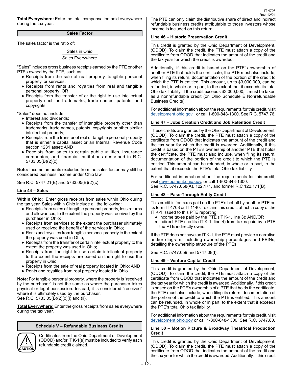**Total Everywhere:** Enter the total compensation paid everywhere during the tax year.

#### **Sales Factor**

The sales factor is the ratio of:

#### Sales in Ohio Sales Everywhere

"Sales" includes gross business receipts earned by the PTE or other PTEs owned by the PTE, such as:

- Receipts from the sale of real property, tangible personal property, or services;
- Receipts from rents and royalties from real and tangible personal property; OR
- Receipts from the transfer of or the right to use intellectual property such as trademarks, trade names, patents, and copyrights.

"Sales" does not include:

• Interest and dividends;

- Receipts from the transfer of intangible property other than trademarks, trade names, patents, copyrights or other similar intellectual property;
- Receipts from the transfer of real or tangible personal property that is either a capital asset or an Internal Revenue Code section 1231 asset; AND
- Receipts from sales to certain public utilities, insurance companies, and financial institutions described in R.C. 5733.05(B)(2)(c).

**Note:** Income amounts excluded from the sales factor may still be considered business income under Ohio law.

See R.C. 5747.21(B) and 5733.05(B)(2)(c).

#### **Line 44 – Sales**

**Within Ohio:** Enter gross receipts from sales within Ohio during the tax year. Sales within Ohio include all the following:

- Receipts from sales of tangible personal property, less returns and allowances, to the extent the property was received by the purchaser in Ohio;
- Receipts from services to the extent the purchaser ultimately used or received the benefit of the services in Ohio;
- Rents and royalties from tangible personal property to the extent the property was used in Ohio;
- Receipts from the transfer of certain intellectual property to the extent the property was used in Ohio;
- Receipts from the right to use certain intellectual property to the extent the receipts are based on the right to use the property in Ohio;
- Receipts from the sale of real property located in Ohio; AND
- Rents and royalties from real property located in Ohio.

**Note:** For tangible personal property, where the property is "received by the purchaser" is not the same as where the purchaser takes physical or legal possession. Instead, it is considered "received" where it is ultimately used by the purchaser. See R.C. 5733.05(B)(2)(c)(i) and (ii).

**Total Everywhere:** Enter the gross receipts from sales everywhere during the tax year.

#### **Schedule V – Refundable Business Credits**

**! CUTIO**  Certificates from the Ohio Department of Development (ODOD) and/or IT K-1(s) must be included to verify each refundable credit claimed.

The PTE can only claim the distributive share of direct and indirect refundable business credits attributable to those investors whose income is included on this return.

#### **Line 46 – Historic Preservation Credit**

This credit is granted by the Ohio Department of Development, (ODOD). To claim the credit, the PTE must attach a copy of the certificate from ODOD that indicates the amount of the credit and the tax year for which the credit is awarded.

Additionally, if this credit is based on the PTE's ownership of another PTE that holds the certificate, the PTE must also include, when filing its return, documentation of the portion of the credit to which the PTE is entitled. This amount, up to \$3,000,000, can be refunded, in whole or in part, to the extent that it exceeds its total Ohio tax liability. If the credit exceeds \$3,000,000, it must be taken as a nonrefundable credit (on Ohio Schedule E Nonrefundable Business Credits).

For additional information about the requirements for this credit, visit [development.ohio.gov](https://development.ohio.gov/bs/bs_busgrantsloans.htm), or call 1-800-848-1300. See R.C. 5747.76.

#### **Line 47 – Jobs Creation Credit and Job Retention Credit**

These credits are granted by the Ohio Department of Development, (ODOD). To claim the credit, the PTE must attach a copy of the certificate from ODOD that indicates the amount of the credit and the tax year for which the credit is awarded. Additionally, if this credit is based on the PTE's ownership of another PTE that holds the certificate, the PTE must also include, when filing its return, documentation of the portion of the credit to which the PTE is entitled. This amount can be refunded, in whole or in part, to the extent that it exceeds the PTE's total Ohio tax liability.

For additional information about the requirements for this credit, visit [development.ohio.gov](https://development.ohio.gov/bs/bs_busgrantsloans.htm), or call 1-800-848-1300. See R.C. 5747.058(A), 122.171, and former R.C 122.171(B).

#### **Line 48 – Pass-Through Entity Credit**

This credit is for taxes paid on the PTE's behalf by another PTE on its form IT 4708 or IT 1140. To claim this credit, attach a copy of the IT K-1 issued to this PTE reporting:

- Income taxes paid by the PTE (IT K-1, line 3); AND/OR
- Indirect PTE credits (IT K-1, line 4) from taxes paid by a PTE the PTE indirectly owns.

If the PTE does not have an IT K-1, the PTE must provide a narrative and/or diagram, including ownership percentages and FEINs, detailing the ownership structure of the PTEs.

See R.C. 5747.059 and 5747.08(I).

#### **Line 49 – Venture Capital Credit**

This credit is granted by the Ohio Department of Development, (ODOD). To claim the credit, the PTE must attach a copy of the certificate from ODOD that indicates the amount of the credit and the tax year for which the credit is awarded. Additionally, if this credit is based on the PTE's ownership of a PTE that holds the certificate, the PTE must also include, when filing its return, documentation of the portion of the credit to which the PTE is entitled. This amount can be refunded, in whole or in part, to the extent that it exceeds the PTE's total Ohio tax liability.

For additional information about the requirements for this credit, visit [development.ohio.gov](https://development.ohio.gov/bs/bs_busgrantsloans.htm) or call 1-800-848-1300. See R.C. 5747.80.

#### **Line 50 – Motion Picture & Broadway Theatrical Production Credit**

This credit is granted by the Ohio Department of Development, (ODOD). To claim the credit, the PTE must attach a copy of the certificate from ODOD that indicates the amount of the credit and the tax year for which the credit is awarded. Additionally, if this credit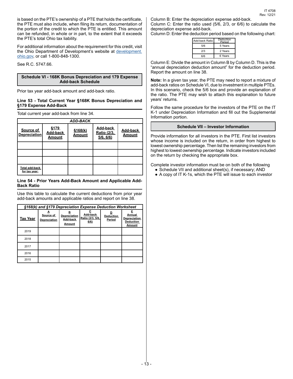is based on the PTE's ownership of a PTE that holds the certificate, the PTE must also include, when filing its return, documentation of the portion of the credit to which the PTE is entitled. This amount can be refunded, in whole or in part, to the extent that it exceeds the PTE's total Ohio tax liability.

For additional information about the requirement for this credit, visit the Ohio Department of Development's website at [development.](https://development.ohio.gov/bs/bs_busgrantsloans.htm) [ohio.gov](https://development.ohio.gov/bs/bs_busgrantsloans.htm), or call 1-800-848-1300.

See R.C. 5747.66.

#### **Schedule VI - 168K Bonus Depreciation and 179 Expense Add-back Schedule**

Prior tax year add-back amount and add-back ratio.

#### **Line 53 - Total Current Year §168K Bonus Depreciation and §179 Expense Add-Back**

Total current year add-back from line 34.

|                                  |                            | <b>ADD-BACK</b>    |                                      |                           |
|----------------------------------|----------------------------|--------------------|--------------------------------------|---------------------------|
| Source of<br><b>Depreciation</b> | §179<br>Add-back<br>Amount | \$168(k)<br>Amount | Add-back<br>Ratio (2/3,<br>5/6, 6/6) | Add-back<br><b>Amount</b> |
|                                  |                            |                    |                                      |                           |
|                                  |                            |                    |                                      |                           |
|                                  |                            |                    |                                      |                           |
| Total add-back<br>for tax year:  |                            |                    |                                      |                           |

#### **Line 54 - Prior Years Add-Back Amount and Applicable Add-Back Ratio**

Use this table to calculate the current deductions from prior year add-back amounts and applicable ratios and report on line 38.

| §168(k) and §179 Depreciation Expense Deduction Worksheet |                           |                                         |                                      |                            |                                                                  |
|-----------------------------------------------------------|---------------------------|-----------------------------------------|--------------------------------------|----------------------------|------------------------------------------------------------------|
| <b>Tax Year</b>                                           | Source of<br>Depreciation | в<br>Depreciation<br>Add-back<br>Amount | Add-back<br>Ratio (2/3, 5/6,<br>6/6) | <b>Deduction</b><br>Period | E<br>Annual<br><b>Depreciation</b><br><b>Deduction</b><br>Amount |
| 2019                                                      |                           |                                         |                                      |                            |                                                                  |
| 2018                                                      |                           |                                         |                                      |                            |                                                                  |
| 2017                                                      |                           |                                         |                                      |                            |                                                                  |
| 2016                                                      |                           |                                         |                                      |                            |                                                                  |
| 2015                                                      |                           |                                         |                                      |                            |                                                                  |

Column B: Enter the depreciation expense add-back.

Column C: Enter the ratio used (5/6, 2/3, or 6/6) to calculate the depreciation expense add-back.

Column D: Enter the deduction period based on the following chart:

| Add-back Ratio | Deduction<br>Period |
|----------------|---------------------|
| 5/6            | 5 Years             |
| 2/3            | 2 Years             |
| 6/6            | 6 Years             |
|                |                     |

Column E: Divide the amount in Column B by Column D. This is the "annual depreciation deduction amount" for the deduction period. Report the amount on line 38.

**Note:** In a given tax year, the PTE may need to report a mixture of add-back ratios on Schedule VI, due to investment in multiple PTEs. In this scenario, check the 5/6 box and provide an explanation of the ratio. The PTE may wish to attach this explanation to future years' returns.

Follow the same procedure for the investors of the PTE on the IT K-1 under Depreciation Information and fill out the Supplemental Information portion.

#### **Schedule VII – Investor Information**

Provide information for all investors in the PTE. First list investors whose income is included on the return, in order from highest to lowest ownership percentage. Then list the remaining investors from highest to lowest ownership percentage. Indicate investors included on the return by checking the appropriate box.

Complete investor information must be on both of the following

- Schedule VII and additional sheet(s), if necessary; AND
- A copy of IT K-1s, which the PTE will issue to each investor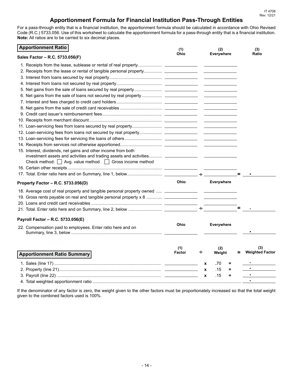### **Apportionment Formula for Financial Institution Pass-Through Entities**

For a pass-through entity that is a financial institution, the apportionment formula should be calculated in accordance with Ohio Revised Code (R.C.) 5733.056. Use of this worksheet to calculate the apportionment formula for a pass-through entity that is a financial institution. **Note:** All ratios are to be carried to six decimal places.

| <b>Apportionment Ratio</b>                                                         | (1)           |                  | (2)               | (3)                    |
|------------------------------------------------------------------------------------|---------------|------------------|-------------------|------------------------|
| Sales Factor - R.C. 5733.056(F)                                                    | Ohio          |                  | <b>Everywhere</b> | Ratio                  |
|                                                                                    |               |                  |                   |                        |
|                                                                                    |               |                  |                   |                        |
|                                                                                    |               |                  |                   |                        |
|                                                                                    |               |                  |                   |                        |
|                                                                                    |               |                  |                   |                        |
|                                                                                    |               |                  |                   |                        |
|                                                                                    |               |                  |                   |                        |
|                                                                                    |               |                  |                   |                        |
|                                                                                    |               |                  |                   |                        |
|                                                                                    |               |                  |                   |                        |
|                                                                                    |               |                  |                   |                        |
|                                                                                    |               |                  |                   |                        |
|                                                                                    |               |                  |                   |                        |
|                                                                                    |               |                  |                   |                        |
| 15. Interest, dividends, net gains and other income from both                      |               |                  |                   |                        |
| investment assets and activities and trading assets and activities _______________ |               |                  |                   |                        |
| Check method: $\Box$ Avg. value method $\Box$ Gross income method                  |               |                  |                   |                        |
|                                                                                    |               |                  |                   |                        |
|                                                                                    |               |                  |                   |                        |
| Property Factor - R.C. 5733.056(D)                                                 | Ohio          |                  | <b>Everywhere</b> |                        |
|                                                                                    |               |                  |                   |                        |
|                                                                                    |               |                  |                   |                        |
|                                                                                    |               |                  |                   |                        |
|                                                                                    |               |                  |                   |                        |
| Payroll Factor - R.C. 5733.056(E)                                                  |               |                  |                   |                        |
| 22. Compensation paid to employees. Enter ratio here and on                        | <b>Ohio</b>   |                  | <b>Everywhere</b> |                        |
|                                                                                    |               |                  |                   |                        |
|                                                                                    |               |                  |                   |                        |
|                                                                                    | (1)           |                  | (2)               | (3)                    |
| <b>Apportionment Ratio Summary</b>                                                 | <b>Factor</b> | ÷                | Weight            | <b>Weighted Factor</b> |
|                                                                                    |               | $\mathbf{x}$     | .70<br>=          |                        |
|                                                                                    |               | $\boldsymbol{x}$ | .15<br>Ξ.         |                        |
|                                                                                    |               | $\mathbf{x}$     | .15<br>$\equiv$   |                        |
|                                                                                    |               |                  |                   | $\blacksquare$         |

If the denominator of any factor is zero, the weight given to the other factors must be proportionately increased so that the total weight given to the combined factors used is 100%.